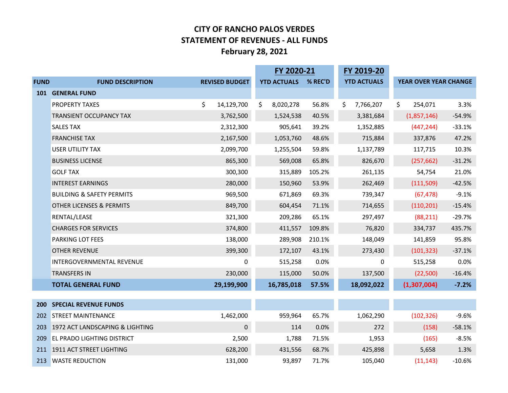## **CITY OF RANCHO PALOS VERDES STATEMENT OF REVENUES - ALL FUNDS February 28, 2021**

|             |                                      |                       | FY 2020-21 |                    | FY 2019-20 |                    |                       |          |
|-------------|--------------------------------------|-----------------------|------------|--------------------|------------|--------------------|-----------------------|----------|
| <b>FUND</b> | <b>FUND DESCRIPTION</b>              | <b>REVISED BUDGET</b> |            | <b>YTD ACTUALS</b> | % REC'D    | <b>YTD ACTUALS</b> | YEAR OVER YEAR CHANGE |          |
| <b>101</b>  | <b>GENERAL FUND</b>                  |                       |            |                    |            |                    |                       |          |
|             | <b>PROPERTY TAXES</b>                | \$<br>14,129,700      | \$         | 8,020,278          | 56.8%      | \$<br>7,766,207    | \$<br>254,071         | 3.3%     |
|             | <b>TRANSIENT OCCUPANCY TAX</b>       | 3,762,500             |            | 1,524,538          | 40.5%      | 3,381,684          | (1,857,146)           | $-54.9%$ |
|             | <b>SALES TAX</b>                     | 2,312,300             |            | 905,641            | 39.2%      | 1,352,885          | (447, 244)            | $-33.1%$ |
|             | <b>FRANCHISE TAX</b>                 | 2,167,500             |            | 1,053,760          | 48.6%      | 715,884            | 337,876               | 47.2%    |
|             | <b>USER UTILITY TAX</b>              | 2,099,700             |            | 1,255,504          | 59.8%      | 1,137,789          | 117,715               | 10.3%    |
|             | <b>BUSINESS LICENSE</b>              | 865,300               |            | 569,008            | 65.8%      | 826,670            | (257, 662)            | $-31.2%$ |
|             | <b>GOLF TAX</b>                      | 300,300               |            | 315,889            | 105.2%     | 261,135            | 54,754                | 21.0%    |
|             | <b>INTEREST EARNINGS</b>             | 280,000               |            | 150,960            | 53.9%      | 262,469            | (111,509)             | $-42.5%$ |
|             | <b>BUILDING &amp; SAFETY PERMITS</b> | 969,500               |            | 671,869            | 69.3%      | 739,347            | (67, 478)             | $-9.1%$  |
|             | <b>OTHER LICENSES &amp; PERMITS</b>  | 849,700               |            | 604,454            | 71.1%      | 714,655            | (110, 201)            | $-15.4%$ |
|             | RENTAL/LEASE                         | 321,300               |            | 209,286            | 65.1%      | 297,497            | (88, 211)             | $-29.7%$ |
|             | <b>CHARGES FOR SERVICES</b>          | 374,800               |            | 411,557            | 109.8%     | 76,820             | 334,737               | 435.7%   |
|             | PARKING LOT FEES                     | 138,000               |            | 289,908            | 210.1%     | 148,049            | 141,859               | 95.8%    |
|             | <b>OTHER REVENUE</b>                 | 399,300               |            | 172,107            | 43.1%      | 273,430            | (101, 323)            | $-37.1%$ |
|             | INTERGOVERNMENTAL REVENUE            | 0                     |            | 515,258            | 0.0%       | 0                  | 515,258               | 0.0%     |
|             | <b>TRANSFERS IN</b>                  | 230,000               |            | 115,000            | 50.0%      | 137,500            | (22,500)              | $-16.4%$ |
|             | <b>TOTAL GENERAL FUND</b>            | 29,199,900            |            | 16,785,018         | 57.5%      | 18,092,022         | (1,307,004)           | $-7.2%$  |
|             |                                      |                       |            |                    |            |                    |                       |          |
| <b>200</b>  | <b>SPECIAL REVENUE FUNDS</b>         |                       |            |                    |            |                    |                       |          |
|             | 202 STREET MAINTENANCE               | 1,462,000             |            | 959,964            | 65.7%      | 1,062,290          | (102, 326)            | $-9.6%$  |
| 203         | 1972 ACT LANDSCAPING & LIGHTING      | $\mathbf{0}$          |            | 114                | 0.0%       | 272                | (158)                 | $-58.1%$ |
| 209         | <b>EL PRADO LIGHTING DISTRICT</b>    | 2,500                 |            | 1,788              | 71.5%      | 1,953              | (165)                 | $-8.5%$  |
|             | 211 1911 ACT STREET LIGHTING         | 628,200               |            | 431,556            | 68.7%      | 425,898            | 5,658                 | 1.3%     |
| 213         | <b>WASTE REDUCTION</b>               | 131,000               |            | 93.897             | 71.7%      | 105,040            | (11, 143)             | $-10.6%$ |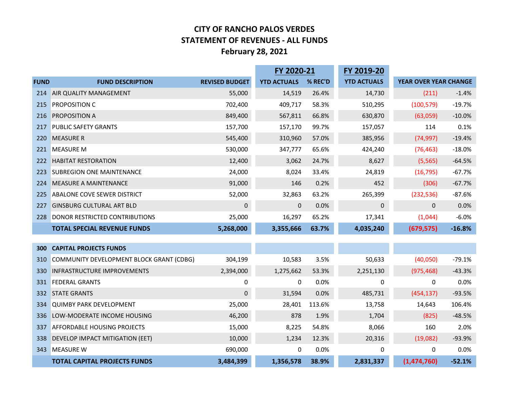## **CITY OF RANCHO PALOS VERDES STATEMENT OF REVENUES - ALL FUNDS February 28, 2021**

|             |                                          | FY 2020-21            |                    |         | FY 2019-20         |                       |          |
|-------------|------------------------------------------|-----------------------|--------------------|---------|--------------------|-----------------------|----------|
| <b>FUND</b> | <b>FUND DESCRIPTION</b>                  | <b>REVISED BUDGET</b> | <b>YTD ACTUALS</b> | % REC'D | <b>YTD ACTUALS</b> | YEAR OVER YEAR CHANGE |          |
| 214         | AIR QUALITY MANAGEMENT                   | 55,000                | 14,519             | 26.4%   | 14,730             | (211)                 | $-1.4%$  |
| 215         | <b>PROPOSITION C</b>                     | 702,400               | 409,717            | 58.3%   | 510,295            | (100, 579)            | $-19.7%$ |
| 216         | <b>PROPOSITION A</b>                     | 849,400               | 567,811            | 66.8%   | 630,870            | (63,059)              | $-10.0%$ |
| 217         | <b>PUBLIC SAFETY GRANTS</b>              | 157,700               | 157,170            | 99.7%   | 157,057            | 114                   | 0.1%     |
| 220         | <b>MEASURE R</b>                         | 545,400               | 310,960            | 57.0%   | 385,956            | (74, 997)             | $-19.4%$ |
| 221         | <b>MEASURE M</b>                         | 530,000               | 347,777            | 65.6%   | 424,240            | (76, 463)             | $-18.0%$ |
| 222         | <b>HABITAT RESTORATION</b>               | 12,400                | 3,062              | 24.7%   | 8,627              | (5, 565)              | $-64.5%$ |
| 223         | <b>SUBREGION ONE MAINTENANCE</b>         | 24,000                | 8,024              | 33.4%   | 24,819             | (16, 795)             | $-67.7%$ |
| 224         | <b>MEASURE A MAINTENANCE</b>             | 91,000                | 146                | 0.2%    | 452                | (306)                 | $-67.7%$ |
| 225         | <b>ABALONE COVE SEWER DISTRICT</b>       | 52,000                | 32,863             | 63.2%   | 265,399            | (232, 536)            | $-87.6%$ |
| 227         | <b>GINSBURG CULTURAL ART BLD</b>         | $\pmb{0}$             | 0                  | 0.0%    | 0                  | $\mathbf{0}$          | 0.0%     |
| 228         | DONOR RESTRICTED CONTRIBUTIONS           | 25,000                | 16,297             | 65.2%   | 17,341             | (1,044)               | $-6.0%$  |
|             | <b>TOTAL SPECIAL REVENUE FUNDS</b>       | 5,268,000             | 3,355,666          | 63.7%   | 4,035,240          | (679, 575)            | $-16.8%$ |
|             |                                          |                       |                    |         |                    |                       |          |
| 300         | <b>CAPITAL PROJECTS FUNDS</b>            |                       |                    |         |                    |                       |          |
| 310         | COMMUNITY DEVELOPMENT BLOCK GRANT (CDBG) | 304,199               | 10,583             | 3.5%    | 50,633             | (40,050)              | $-79.1%$ |
| 330         | <b>INFRASTRUCTURE IMPROVEMENTS</b>       | 2,394,000             | 1,275,662          | 53.3%   | 2,251,130          | (975, 468)            | $-43.3%$ |
| 331         | <b>FEDERAL GRANTS</b>                    | 0                     | 0                  | 0.0%    | 0                  | 0                     | 0.0%     |
| 332         | <b>STATE GRANTS</b>                      | $\mathbf{0}$          | 31,594             | 0.0%    | 485,731            | (454, 137)            | $-93.5%$ |
| 334         | <b>QUIMBY PARK DEVELOPMENT</b>           | 25,000                | 28,401             | 113.6%  | 13,758             | 14,643                | 106.4%   |
| 336         | LOW-MODERATE INCOME HOUSING              | 46,200                | 878                | 1.9%    | 1,704              | (825)                 | $-48.5%$ |
| 337         | <b>AFFORDABLE HOUSING PROJECTS</b>       | 15,000                | 8,225              | 54.8%   | 8,066              | 160                   | 2.0%     |
| 338         | DEVELOP IMPACT MITIGATION (EET)          | 10,000                | 1,234              | 12.3%   | 20,316             | (19,082)              | $-93.9%$ |
| 343         | <b>MEASURE W</b>                         | 690,000               | 0                  | 0.0%    | 0                  | 0                     | 0.0%     |
|             | <b>TOTAL CAPITAL PROJECTS FUNDS</b>      | 3,484,399             | 1,356,578          | 38.9%   | 2,831,337          | (1,474,760)           | $-52.1%$ |